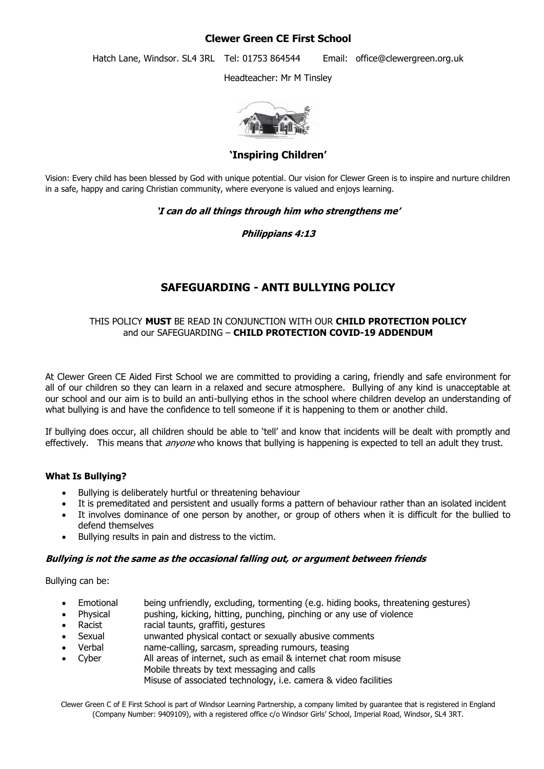### **Clewer Green CE First School**

Hatch Lane, Windsor. SL4 3RL Tel: 01753 864544 Email: office@clewergreen.org.uk

Headteacher: Mr M Tinsley



**'Inspiring Children'**

Vision: Every child has been blessed by God with unique potential. Our vision for Clewer Green is to inspire and nurture children in a safe, happy and caring Christian community, where everyone is valued and enjoys learning.

#### **'I can do all things through him who strengthens me'**

#### **Philippians 4:13**

## **SAFEGUARDING - ANTI BULLYING POLICY**

#### THIS POLICY **MUST** BE READ IN CONJUNCTION WITH OUR **CHILD PROTECTION POLICY** and our SAFEGUARDING – **CHILD PROTECTION COVID-19 ADDENDUM**

At Clewer Green CE Aided First School we are committed to providing a caring, friendly and safe environment for all of our children so they can learn in a relaxed and secure atmosphere. Bullying of any kind is unacceptable at our school and our aim is to build an anti-bullying ethos in the school where children develop an understanding of what bullying is and have the confidence to tell someone if it is happening to them or another child.

If bullying does occur, all children should be able to 'tell' and know that incidents will be dealt with promptly and effectively. This means that *anyone* who knows that bullying is happening is expected to tell an adult they trust.

#### **What Is Bullying?**

- Bullying is deliberately hurtful or threatening behaviour
- It is premeditated and persistent and usually forms a pattern of behaviour rather than an isolated incident
- It involves dominance of one person by another, or group of others when it is difficult for the bullied to defend themselves
- Bullying results in pain and distress to the victim.

#### **Bullying is not the same as the occasional falling out, or argument between friends**

Bullying can be:

- Emotional being unfriendly, excluding, tormenting (e.g. hiding books, threatening gestures)
- Physical pushing, kicking, hitting, punching, pinching or any use of violence
- Racist racial taunts, graffiti, gestures
- Sexual unwanted physical contact or sexually abusive comments
- Verbal name-calling, sarcasm, spreading rumours, teasing
- Cyber All areas of internet, such as email & internet chat room misuse Mobile threats by text messaging and calls Misuse of associated technology, i.e. camera & video facilities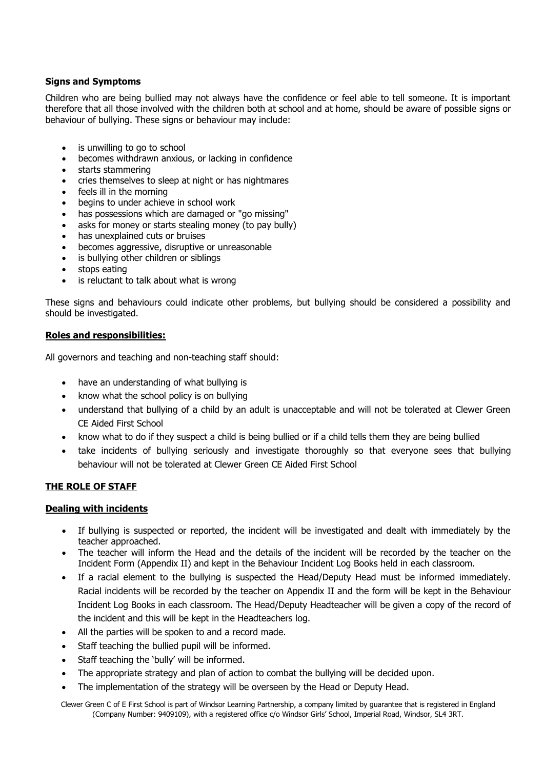#### **Signs and Symptoms**

Children who are being bullied may not always have the confidence or feel able to tell someone. It is important therefore that all those involved with the children both at school and at home, should be aware of possible signs or behaviour of bullying. These signs or behaviour may include:

- is unwilling to go to school
- becomes withdrawn anxious, or lacking in confidence
- starts stammering
- cries themselves to sleep at night or has nightmares
- feels ill in the morning
- begins to under achieve in school work
- has possessions which are damaged or "go missing"
- asks for money or starts stealing money (to pay bully)
- has unexplained cuts or bruises
- becomes aggressive, disruptive or unreasonable
- is bullying other children or siblings
- stops eating
- is reluctant to talk about what is wrong

These signs and behaviours could indicate other problems, but bullying should be considered a possibility and should be investigated.

#### **Roles and responsibilities:**

All governors and teaching and non-teaching staff should:

- have an understanding of what bullying is
- know what the school policy is on bullying
- understand that bullying of a child by an adult is unacceptable and will not be tolerated at Clewer Green CE Aided First School
- know what to do if they suspect a child is being bullied or if a child tells them they are being bullied
- take incidents of bullying seriously and investigate thoroughly so that everyone sees that bullying behaviour will not be tolerated at Clewer Green CE Aided First School

#### **THE ROLE OF STAFF**

#### **Dealing with incidents**

- If bullying is suspected or reported, the incident will be investigated and dealt with immediately by the teacher approached.
- The teacher will inform the Head and the details of the incident will be recorded by the teacher on the Incident Form (Appendix II) and kept in the Behaviour Incident Log Books held in each classroom.
- If a racial element to the bullying is suspected the Head/Deputy Head must be informed immediately. Racial incidents will be recorded by the teacher on Appendix II and the form will be kept in the Behaviour Incident Log Books in each classroom. The Head/Deputy Headteacher will be given a copy of the record of the incident and this will be kept in the Headteachers log.
- All the parties will be spoken to and a record made.
- Staff teaching the bullied pupil will be informed.
- Staff teaching the 'bully' will be informed.
- The appropriate strategy and plan of action to combat the bullying will be decided upon.
- The implementation of the strategy will be overseen by the Head or Deputy Head.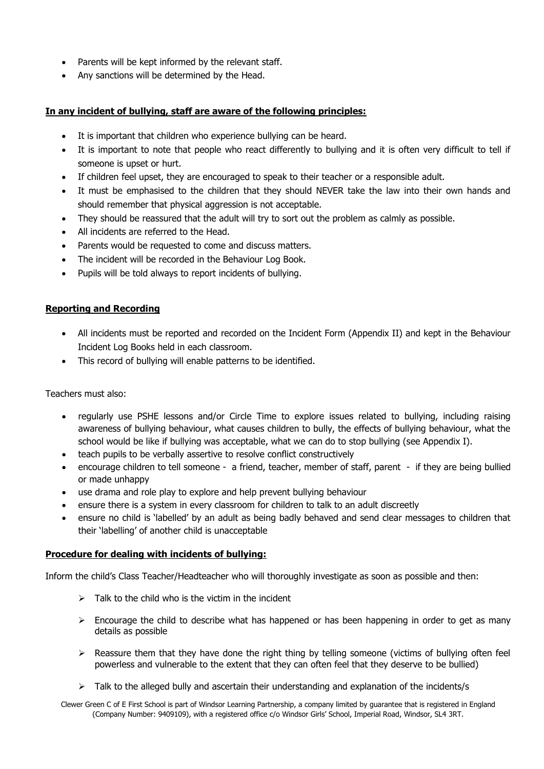- Parents will be kept informed by the relevant staff.
- Any sanctions will be determined by the Head.

#### **In any incident of bullying, staff are aware of the following principles:**

- It is important that children who experience bullying can be heard.
- It is important to note that people who react differently to bullying and it is often very difficult to tell if someone is upset or hurt.
- If children feel upset, they are encouraged to speak to their teacher or a responsible adult.
- It must be emphasised to the children that they should NEVER take the law into their own hands and should remember that physical aggression is not acceptable.
- They should be reassured that the adult will try to sort out the problem as calmly as possible.
- All incidents are referred to the Head.
- Parents would be requested to come and discuss matters.
- The incident will be recorded in the Behaviour Log Book.
- Pupils will be told always to report incidents of bullying.

#### **Reporting and Recording**

- All incidents must be reported and recorded on the Incident Form (Appendix II) and kept in the Behaviour Incident Log Books held in each classroom.
- This record of bullying will enable patterns to be identified.

Teachers must also:

- regularly use PSHE lessons and/or Circle Time to explore issues related to bullying, including raising awareness of bullying behaviour, what causes children to bully, the effects of bullying behaviour, what the school would be like if bullying was acceptable, what we can do to stop bullying (see Appendix I).
- teach pupils to be verbally assertive to resolve conflict constructively
- encourage children to tell someone a friend, teacher, member of staff, parent if they are being bullied or made unhappy
- use drama and role play to explore and help prevent bullying behaviour
- ensure there is a system in every classroom for children to talk to an adult discreetly
- ensure no child is 'labelled' by an adult as being badly behaved and send clear messages to children that their 'labelling' of another child is unacceptable

#### **Procedure for dealing with incidents of bullying:**

Inform the child's Class Teacher/Headteacher who will thoroughly investigate as soon as possible and then:

- $\triangleright$  Talk to the child who is the victim in the incident
- $\triangleright$  Encourage the child to describe what has happened or has been happening in order to get as many details as possible
- $\triangleright$  Reassure them that they have done the right thing by telling someone (victims of bullying often feel powerless and vulnerable to the extent that they can often feel that they deserve to be bullied)
- $\triangleright$  Talk to the alleged bully and ascertain their understanding and explanation of the incidents/s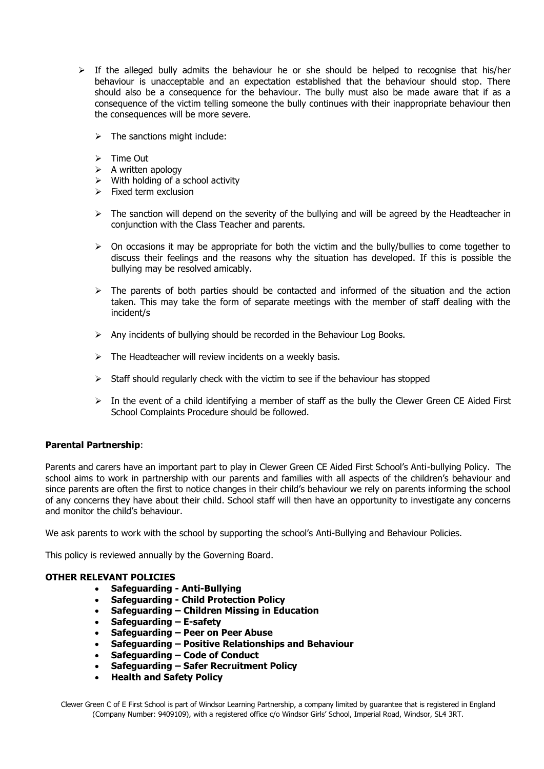- $\triangleright$  If the alleged bully admits the behaviour he or she should be helped to recognise that his/her behaviour is unacceptable and an expectation established that the behaviour should stop. There should also be a consequence for the behaviour. The bully must also be made aware that if as a consequence of the victim telling someone the bully continues with their inappropriate behaviour then the consequences will be more severe.
	- $\triangleright$  The sanctions might include:
	- $\triangleright$  Time Out
	- $\triangleright$  A written apology
	- $\triangleright$  With holding of a school activity
	- $\triangleright$  Fixed term exclusion
	- $\triangleright$  The sanction will depend on the severity of the bullying and will be agreed by the Headteacher in conjunction with the Class Teacher and parents.
	- $\triangleright$  On occasions it may be appropriate for both the victim and the bully/bullies to come together to discuss their feelings and the reasons why the situation has developed. If this is possible the bullying may be resolved amicably.
	- $\triangleright$  The parents of both parties should be contacted and informed of the situation and the action taken. This may take the form of separate meetings with the member of staff dealing with the incident/s
	- $\triangleright$  Any incidents of bullying should be recorded in the Behaviour Log Books.
	- $\triangleright$  The Headteacher will review incidents on a weekly basis.
	- $\triangleright$  Staff should regularly check with the victim to see if the behaviour has stopped
	- $\triangleright$  In the event of a child identifying a member of staff as the bully the Clewer Green CE Aided First School Complaints Procedure should be followed.

#### **Parental Partnership**:

Parents and carers have an important part to play in Clewer Green CE Aided First School's Anti-bullying Policy. The school aims to work in partnership with our parents and families with all aspects of the children's behaviour and since parents are often the first to notice changes in their child's behaviour we rely on parents informing the school of any concerns they have about their child. School staff will then have an opportunity to investigate any concerns and monitor the child's behaviour.

We ask parents to work with the school by supporting the school's Anti-Bullying and Behaviour Policies.

This policy is reviewed annually by the Governing Board.

#### **OTHER RELEVANT POLICIES**

- **Safeguarding - Anti-Bullying**
- **Safeguarding - Child Protection Policy**
- **Safeguarding – Children Missing in Education**
- **Safeguarding – E-safety**
- **Safeguarding – Peer on Peer Abuse**
- **Safeguarding – Positive Relationships and Behaviour**
- **Safeguarding – Code of Conduct**
- **Safeguarding – Safer Recruitment Policy**
- **Health and Safety Policy**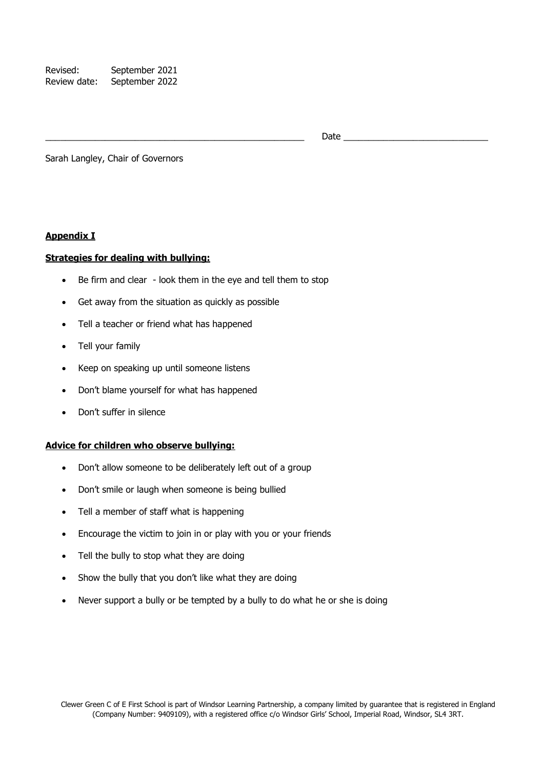Revised: September 2021 Review date: September 2022

Date  $\Box$ 

Sarah Langley, Chair of Governors

#### **Appendix I**

#### **Strategies for dealing with bullying:**

- Be firm and clear look them in the eye and tell them to stop
- Get away from the situation as quickly as possible
- Tell a teacher or friend what has happened
- Tell your family
- Keep on speaking up until someone listens
- Don't blame yourself for what has happened
- Don't suffer in silence

#### **Advice for children who observe bullying:**

- Don't allow someone to be deliberately left out of a group
- Don't smile or laugh when someone is being bullied
- Tell a member of staff what is happening
- Encourage the victim to join in or play with you or your friends
- Tell the bully to stop what they are doing
- Show the bully that you don't like what they are doing
- Never support a bully or be tempted by a bully to do what he or she is doing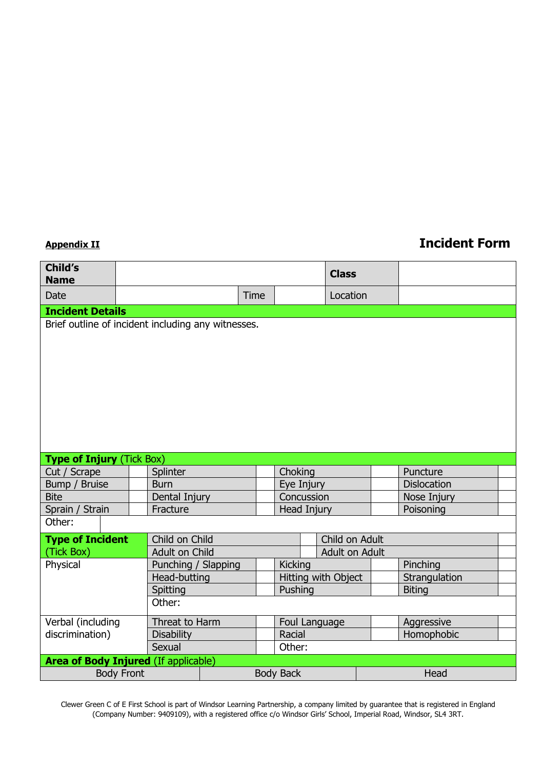# **Appendix II Incident Form**

| Child's<br><b>Name</b>                             |                |                     |                  |                |                     | <b>Class</b> |  |                    |  |
|----------------------------------------------------|----------------|---------------------|------------------|----------------|---------------------|--------------|--|--------------------|--|
| <b>Date</b>                                        |                |                     |                  | Time           |                     | Location     |  |                    |  |
| <b>Incident Details</b>                            |                |                     |                  |                |                     |              |  |                    |  |
| Brief outline of incident including any witnesses. |                |                     |                  |                |                     |              |  |                    |  |
| <b>Type of Injury (Tick Box)</b>                   |                |                     |                  |                |                     |              |  |                    |  |
| Cut / Scrape                                       |                | Splinter            |                  |                | Choking             |              |  | Puncture           |  |
| Bump / Bruise                                      |                | <b>Burn</b>         |                  |                | Eye Injury          |              |  | <b>Dislocation</b> |  |
| <b>Bite</b>                                        |                | Dental Injury       |                  |                | Concussion          |              |  | Nose Injury        |  |
| Sprain / Strain                                    |                | Fracture            |                  |                | Head Injury         |              |  | Poisoning          |  |
| Other:                                             |                |                     |                  |                |                     |              |  |                    |  |
| <b>Type of Incident</b>                            | Child on Child |                     |                  |                | Child on Adult      |              |  |                    |  |
| (Tick Box)                                         | Adult on Child |                     |                  | Adult on Adult |                     |              |  |                    |  |
| Physical                                           |                | Punching / Slapping |                  |                | <b>Kicking</b>      |              |  | Pinching           |  |
|                                                    |                | Head-butting        |                  |                | Hitting with Object |              |  | Strangulation      |  |
|                                                    |                | Spitting            |                  |                | Pushing             |              |  | <b>Biting</b>      |  |
|                                                    |                | Other:              |                  |                |                     |              |  |                    |  |
| Verbal (including                                  |                | Threat to Harm      |                  |                | Foul Language       |              |  | Aggressive         |  |
| discrimination)                                    |                | <b>Disability</b>   |                  |                | Racial              |              |  | Homophobic         |  |
|                                                    |                | Sexual              |                  |                | Other:              |              |  |                    |  |
| <b>Area of Body Injured (If applicable)</b>        |                |                     |                  |                |                     |              |  |                    |  |
| <b>Body Front</b>                                  |                |                     | <b>Body Back</b> |                |                     |              |  | Head               |  |